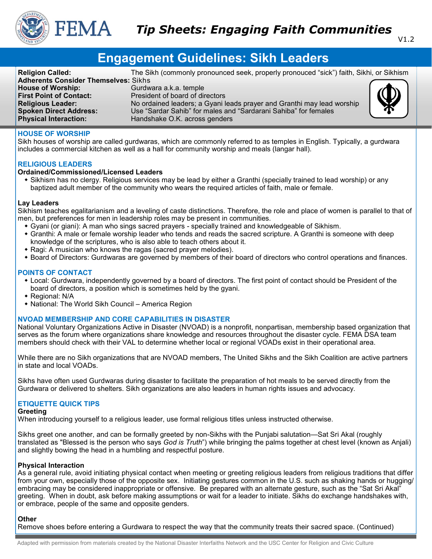

# **Engagement Guidelines: Sikh Leaders**

**Religion Called:** The Sikh (commonly pronounced seek, properly pronouced "sick") faith, Sikhi, or Sikhism **Adherents Consider Themselves:** Sikhs **House of Worship: Gurdwara a.k.a. temple First Point of Contact:** President of board of directors<br> **Religious Leader:** No ordained leaders; a Gyanile No ordained leaders; a Gyani leads prayer and Granthi may lead worship **Spoken Direct Address:** Use "Sardar Sahib" for males and "Sardarani Sahiba" for females **Physical Interaction:** Handshake O.K. across genders

# **HOUSE OF WORSHIP**

Sikh houses of worship are called gurdwaras, which are commonly referred to as temples in English. Typically, a gurdwara includes a commercial kitchen as well as a hall for community worship and meals (langar hall).

# **RELIGIOUS LEADERS**

# **Ordained/Commissioned/Licensed Leaders**

 Sikhism has no clergy. Religious services may be lead by either a Granthi (specially trained to lead worship) or any baptized adult member of the community who wears the required articles of faith, male or female.

## **Lay Leaders**

Sikhism teaches egalitarianism and a leveling of caste distinctions. Therefore, the role and place of women is parallel to that of men, but preferences for men in leadership roles may be present in communities.

- Gyani (or giani): A man who sings sacred prayers specially trained and knowledgeable of Sikhism.
- Granthi: A male or female worship leader who tends and reads the sacred scripture. A Granthi is someone with deep knowledge of the scriptures, who is also able to teach others about it.
- $\bullet$  Ragi: A musician who knows the ragas (sacred prayer melodies).
- Board of Directors: Gurdwaras are governed by members of their board of directors who control operations and finances.

## **POINTS OF CONTACT**

- Local: Gurdwara, independently governed by a board of directors. The first point of contact should be President of the board of directors, a position which is sometimes held by the gyani.
- Regional: N/A
- National: The World Sikh Council America Region

## **NVOAD MEMBERSHIP AND CORE CAPABILITIES IN DISASTER**

National Voluntary Organizations Active in Disaster (NVOAD) is a nonprofit, nonpartisan, membership based organization that serves as the forum where organizations share knowledge and resources throughout the disaster cycle. FEMA DSA team members should check with their VAL to determine whether local or regional VOADs exist in their operational area.

While there are no Sikh organizations that are NVOAD members, The United Sikhs and the Sikh Coalition are active partners in state and local VOADs.

Sikhs have often used Gurdwaras during disaster to facilitate the preparation of hot meals to be served directly from the Gurdwara or delivered to shelters. Sikh organizations are also leaders in human rights issues and advocacy.

# **ETIQUETTE QUICK TIPS**

#### **Greeting**

When introducing yourself to a religious leader, use formal religious titles unless instructed otherwise.

Sikhs greet one another, and can be formally greeted by non-Sikhs with the Punjabi salutation—Sat Sri Akal (roughly translated as "Blessed is the person who says *God is Truth*") while bringing the palms together at chest level (known as Anjali) and slightly bowing the head in a humbling and respectful posture.

# **Physical Interaction**

As a general rule, avoid initiating physical contact when meeting or greeting religious leaders from religious traditions that differ from your own, especially those of the opposite sex. Initiating gestures common in the U.S. such as shaking hands or hugging/ embracing may be considered inappropriate or offensive. Be prepared with an alternate gesture, such as the "Sat Sri Akal" greeting. When in doubt, ask before making assumptions or wait for a leader to initiate. Sikhs do exchange handshakes with, or embrace, people of the same and opposite genders.

# **Other**

Remove shoes before entering a Gurdwara to respect the way that the community treats their sacred space. (Continued)